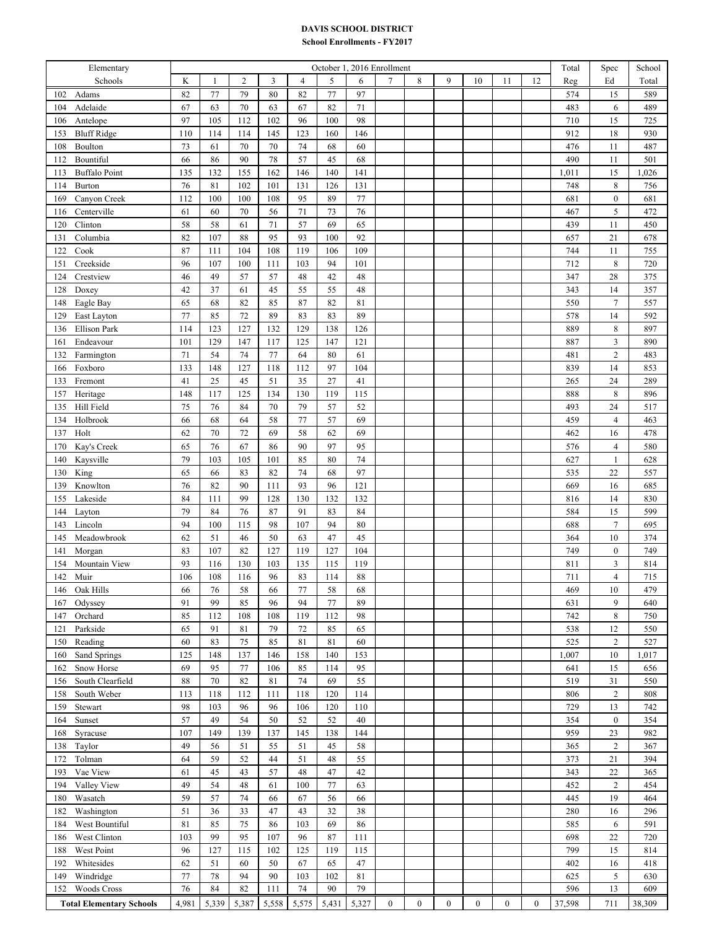## **DAVIS SCHOOL DISTRICT**

## **School Enrollments - FY2017**

| Elementary                      | October 1, 2016 Enrollment |              |                |       |        |       |       |                  |                  |                  |              |          | Total        | Spec   | School           |        |
|---------------------------------|----------------------------|--------------|----------------|-------|--------|-------|-------|------------------|------------------|------------------|--------------|----------|--------------|--------|------------------|--------|
| Schools                         | K                          | $\mathbf{1}$ | $\mathfrak{2}$ | 3     | 4      | 5     | 6     | $\tau$           | 8                | 9                | 10           | 11       | 12           | Reg    | Ed               | Total  |
| 102<br>Adams                    | 82                         | 77           | 79             | 80    | 82     | 77    | 97    |                  |                  |                  |              |          |              | 574    | 15               | 589    |
| 104<br>Adelaide                 | 67                         | 63           | 70             | 63    | 67     | 82    | 71    |                  |                  |                  |              |          |              | 483    | 6                | 489    |
| Antelope<br>106                 | 97                         | 105          | 112            | 102   | 96     | 100   | 98    |                  |                  |                  |              |          |              | 710    | 15               | 725    |
| <b>Bluff Ridge</b><br>153       | 110                        | 114          | 114            | 145   | 123    | 160   | 146   |                  |                  |                  |              |          |              | 912    | 18               | 930    |
| 108<br>Boulton                  | 73                         | 61           | 70             | 70    | 74     | 68    | 60    |                  |                  |                  |              |          |              | 476    | 11               | 487    |
| Bountiful<br>112                | 66                         | 86           | 90             | 78    | 57     | 45    | 68    |                  |                  |                  |              |          |              | 490    | 11               | 501    |
| <b>Buffalo Point</b><br>113     | 135                        | 132          | 155            | 162   | 146    | 140   | 141   |                  |                  |                  |              |          |              | 1,011  | 15               | 1,026  |
| Burton<br>114                   | 76                         | 81           | 102            | 101   | 131    | 126   | 131   |                  |                  |                  |              |          |              | 748    | $\,$ 8 $\,$      | 756    |
| 169<br>Canyon Creek             | 112                        | 100          | 100            | 108   | 95     | 89    | 77    |                  |                  |                  |              |          |              | 681    | $\boldsymbol{0}$ | 681    |
| Centerville<br>116              | 61                         | 60           | 70             | 56    | $71\,$ | 73    | 76    |                  |                  |                  |              |          |              | 467    | 5                | 472    |
| Clinton<br>120                  | 58                         | 58           | 61             | 71    | 57     | 69    | 65    |                  |                  |                  |              |          |              | 439    | 11               | 450    |
| Columbia<br>131                 | 82                         | 107          | 88             | 95    | 93     | 100   | 92    |                  |                  |                  |              |          |              | 657    | 21               | 678    |
| Cook<br>122                     | 87                         | 111          | 104            | 108   | 119    | 106   | 109   |                  |                  |                  |              |          |              | 744    | 11               | 755    |
| Creekside<br>151                | 96                         | 107          | 100            | 111   | 103    | 94    | 101   |                  |                  |                  |              |          |              | 712    | $\,$ 8 $\,$      | 720    |
| Crestview<br>124                | 46                         | 49           | 57             | 57    | 48     | 42    | 48    |                  |                  |                  |              |          |              | 347    | 28               | 375    |
| 128<br>Doxey                    | 42                         | 37           | 61             | 45    | 55     | 55    | 48    |                  |                  |                  |              |          |              | 343    | 14               | 357    |
| Eagle Bay<br>148                | 65                         | 68           | 82             | 85    | 87     | 82    | 81    |                  |                  |                  |              |          |              | 550    | $\boldsymbol{7}$ | 557    |
| 129<br>East Layton              | 77                         | 85           | 72             | 89    | 83     | 83    | 89    |                  |                  |                  |              |          |              | 578    | 14               | 592    |
| <b>Ellison Park</b><br>136      | 114                        | 123          | 127            | 132   | 129    | 138   | 126   |                  |                  |                  |              |          |              | 889    | $\,8\,$          | 897    |
| Endeavour<br>161                | 101                        | 129          | 147            | 117   | 125    | 147   | 121   |                  |                  |                  |              |          |              | 887    | $\mathfrak{Z}$   | 890    |
| Farmington<br>132               | 71                         | 54           | 74             | 77    | 64     | 80    | 61    |                  |                  |                  |              |          |              | 481    | $\sqrt{2}$       | 483    |
| 166<br>Foxboro                  | 133                        | 148          | 127            | 118   | 112    | 97    | 104   |                  |                  |                  |              |          |              | 839    | 14               | 853    |
| Fremont<br>133                  | 41                         | 25           | 45             | 51    | 35     | 27    | 41    |                  |                  |                  |              |          |              | 265    | 24               | 289    |
| Heritage<br>157                 | 148                        | 117          | 125            | 134   | 130    | 119   | 115   |                  |                  |                  |              |          |              | 888    | $\,$ 8 $\,$      | 896    |
| Hill Field<br>135               | 75                         | 76           | 84             | 70    | 79     | 57    | 52    |                  |                  |                  |              |          |              | 493    | 24               | 517    |
| Holbrook<br>134                 | 66                         | 68           | 64             | 58    | 77     | 57    | 69    |                  |                  |                  |              |          |              | 459    | $\overline{4}$   | 463    |
| Holt<br>137                     | 62                         | 70           | 72             | 69    | 58     | 62    | 69    |                  |                  |                  |              |          |              | 462    | 16               | 478    |
| Kay's Creek<br>170              | 65                         | 76           | 67             | 86    | 90     | 97    | 95    |                  |                  |                  |              |          |              | 576    | $\overline{4}$   | 580    |
| Kaysville<br>140                | 79                         | 103          | 105            | 101   | 85     | 80    | 74    |                  |                  |                  |              |          |              | 627    | $\mathbf{1}$     | 628    |
| King<br>130                     | 65                         | 66           | 83             | 82    | 74     | 68    | 97    |                  |                  |                  |              |          |              | 535    | 22               | 557    |
| Knowlton<br>139                 | 76                         | 82           | 90             | 111   | 93     | 96    | 121   |                  |                  |                  |              |          |              | 669    | 16               | 685    |
| Lakeside<br>155                 | 84                         | 111          | 99             | 128   | 130    | 132   | 132   |                  |                  |                  |              |          |              | 816    | 14               | 830    |
| 144<br>Layton                   | 79                         | 84           | 76             | 87    | 91     | 83    | 84    |                  |                  |                  |              |          |              | 584    | 15               | 599    |
| 143<br>Lincoln                  | 94                         | 100          | 115            | 98    | 107    | 94    | 80    |                  |                  |                  |              |          |              | 688    | $\boldsymbol{7}$ | 695    |
| 145<br>Meadowbrook              | 62                         | 51           | 46             | 50    | 63     | 47    | 45    |                  |                  |                  |              |          |              | 364    | $10\,$           | 374    |
| 141<br>Morgan                   | 83                         | 107          | 82             | 127   | 119    | 127   | 104   |                  |                  |                  |              |          |              | 749    | $\boldsymbol{0}$ | 749    |
| Mountain View<br>154            | 93                         | 116          | 130            | 103   | 135    | 115   | 119   |                  |                  |                  |              |          |              | 811    | $\mathfrak{Z}$   | 814    |
| 142<br>Muir                     | 106                        | 108          | 116            | 96    | 83     | 114   | 88    |                  |                  |                  |              |          |              | 711    | $\overline{4}$   | 715    |
| Oak Hills<br>146                | 66                         | 76           | 58             | 66    | 77     | 58    | 68    |                  |                  |                  |              |          |              | 469    | 10               | 479    |
| 167<br>Odyssey                  | 91                         | 99           | 85             | 96    | 94     | 77    | 89    |                  |                  |                  |              |          |              | 631    | 9                | 640    |
| 147<br>Orchard                  | 85                         | 112          | 108            | 108   | 119    | 112   | 98    |                  |                  |                  |              |          |              | 742    | 8                | 750    |
| Parkside<br>121                 | 65                         | 91           | 81             | 79    | 72     | 85    | 65    |                  |                  |                  |              |          |              | 538    | 12               | 550    |
| Reading<br>150                  | 60                         | 83           | 75             | 85    | 81     | 81    | 60    |                  |                  |                  |              |          |              | 525    | $\overline{2}$   | 527    |
| 160<br>Sand Springs             | 125                        | 148          | 137            | 146   | 158    | 140   | 153   |                  |                  |                  |              |          |              | 1,007  | 10               | 1,017  |
| Snow Horse<br>162               | 69                         | 95           | 77             | 106   | 85     | 114   | 95    |                  |                  |                  |              |          |              | 641    | 15               | 656    |
| South Clearfield<br>156         | 88                         | 70           | 82             | 81    | 74     | 69    | 55    |                  |                  |                  |              |          |              | 519    | 31               | 550    |
| South Weber<br>158              | 113                        | 118          | 112            | 111   | 118    | 120   | 114   |                  |                  |                  |              |          |              | 806    | $\overline{2}$   | 808    |
| 159<br>Stewart                  | 98                         | 103          | 96             | 96    | 106    | 120   | 110   |                  |                  |                  |              |          |              | 729    | 13               | 742    |
| $\operatorname{Sunset}$<br>164  | 57                         | 49           | 54             | 50    | 52     | 52    | 40    |                  |                  |                  |              |          |              | 354    | $\bf{0}$         | 354    |
| 168<br>Syracuse                 | 107                        | 149          | 139            | 137   | 145    | 138   | 144   |                  |                  |                  |              |          |              | 959    | 23               | 982    |
| 138<br>Taylor                   | 49                         | 56           | 51             | 55    | 51     | 45    | 58    |                  |                  |                  |              |          |              | 365    | $\sqrt{2}$       | 367    |
| Tolman<br>172                   | 64                         | 59           | 52             | 44    | 51     | 48    | 55    |                  |                  |                  |              |          |              | 373    | 21               | 394    |
| Vae View<br>193                 | 61                         | 45           | 43             | 57    | 48     | 47    | 42    |                  |                  |                  |              |          |              | 343    | 22               | 365    |
| Valley View<br>194              | 49                         | 54           | 48             | 61    | 100    | 77    | 63    |                  |                  |                  |              |          |              | 452    | $\overline{2}$   | 454    |
| Wasatch<br>180                  | 59                         | 57           | 74             | 66    | 67     | 56    | 66    |                  |                  |                  |              |          |              | 445    | 19               | 464    |
| Washington<br>182               | 51                         | 36           | 33             | 47    | 43     | 32    | 38    |                  |                  |                  |              |          |              | 280    | 16               | 296    |
| West Bountiful<br>184           | 81                         | 85           | 75             | 86    | 103    | 69    | 86    |                  |                  |                  |              |          |              | 585    | 6                | 591    |
| West Clinton<br>186             | 103                        | 99           | 95             | 107   | 96     | 87    | 111   |                  |                  |                  |              |          |              | 698    | 22               | 720    |
| West Point<br>188               | 96                         | 127          | 115            | 102   | 125    | 119   | 115   |                  |                  |                  |              |          |              | 799    | 15               | 814    |
| Whitesides<br>192               | 62                         | 51           | 60             | 50    | 67     | 65    | 47    |                  |                  |                  |              |          |              | 402    | 16               | 418    |
| Windridge<br>149                | 77                         | 78           | 94             | 90    | 103    | 102   | 81    |                  |                  |                  |              |          |              | 625    | 5                | 630    |
| <b>Woods Cross</b><br>152       | 76                         | 84           | 82             | 111   | 74     | 90    | 79    |                  |                  |                  |              |          |              | 596    | 13               | 609    |
| <b>Total Elementary Schools</b> | 4,981                      | 5,339        | 5,387          | 5,558 | 5,575  | 5,431 | 5,327 | $\boldsymbol{0}$ | $\boldsymbol{0}$ | $\boldsymbol{0}$ | $\mathbf{0}$ | $\bf{0}$ | $\mathbf{0}$ | 37,598 | 711              | 38,309 |